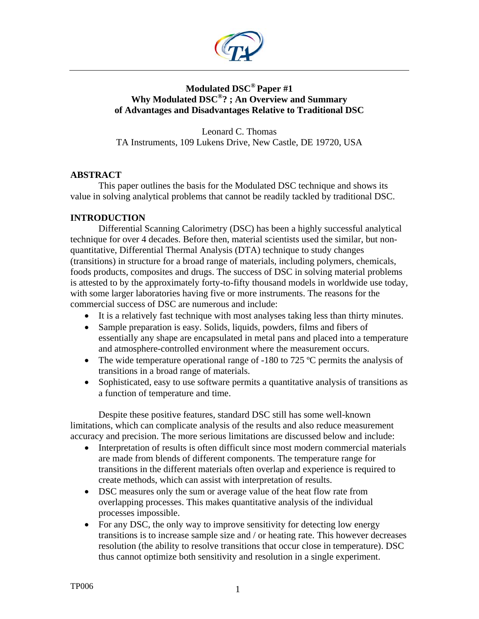

# **Modulated DSC® Paper #1 Why Modulated DSC®? ; An Overview and Summary of Advantages and Disadvantages Relative to Traditional DSC**

Leonard C. Thomas TA Instruments, 109 Lukens Drive, New Castle, DE 19720, USA

### **ABSTRACT**

This paper outlines the basis for the Modulated DSC technique and shows its value in solving analytical problems that cannot be readily tackled by traditional DSC.

# **INTRODUCTION**

 Differential Scanning Calorimetry (DSC) has been a highly successful analytical technique for over 4 decades. Before then, material scientists used the similar, but nonquantitative, Differential Thermal Analysis (DTA) technique to study changes (transitions) in structure for a broad range of materials, including polymers, chemicals, foods products, composites and drugs. The success of DSC in solving material problems is attested to by the approximately forty-to-fifty thousand models in worldwide use today, with some larger laboratories having five or more instruments. The reasons for the commercial success of DSC are numerous and include:

- It is a relatively fast technique with most analyses taking less than thirty minutes.
- Sample preparation is easy. Solids, liquids, powders, films and fibers of essentially any shape are encapsulated in metal pans and placed into a temperature and atmosphere-controlled environment where the measurement occurs.
- The wide temperature operational range of -180 to 725 °C permits the analysis of transitions in a broad range of materials.
- Sophisticated, easy to use software permits a quantitative analysis of transitions as a function of temperature and time.

Despite these positive features, standard DSC still has some well-known limitations, which can complicate analysis of the results and also reduce measurement accuracy and precision. The more serious limitations are discussed below and include:

- Interpretation of results is often difficult since most modern commercial materials are made from blends of different components. The temperature range for transitions in the different materials often overlap and experience is required to create methods, which can assist with interpretation of results.
- DSC measures only the sum or average value of the heat flow rate from overlapping processes. This makes quantitative analysis of the individual processes impossible.
- For any DSC, the only way to improve sensitivity for detecting low energy transitions is to increase sample size and / or heating rate. This however decreases resolution (the ability to resolve transitions that occur close in temperature). DSC thus cannot optimize both sensitivity and resolution in a single experiment.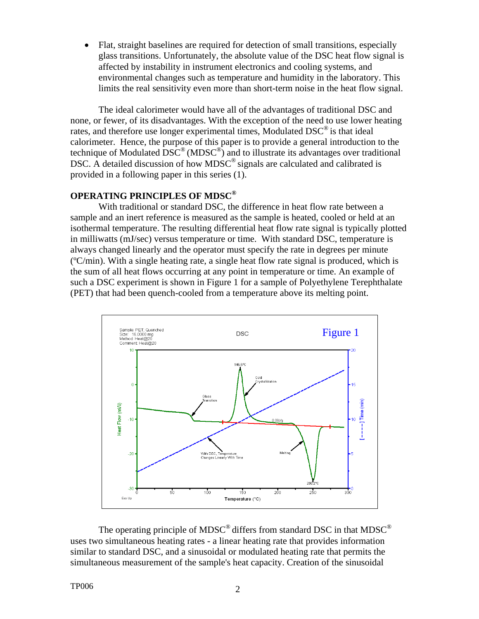• Flat, straight baselines are required for detection of small transitions, especially glass transitions. Unfortunately, the absolute value of the DSC heat flow signal is affected by instability in instrument electronics and cooling systems, and environmental changes such as temperature and humidity in the laboratory. This limits the real sensitivity even more than short-term noise in the heat flow signal.

The ideal calorimeter would have all of the advantages of traditional DSC and none, or fewer, of its disadvantages. With the exception of the need to use lower heating rates, and therefore use longer experimental times, Modulated DSC<sup>®</sup> is that ideal calorimeter. Hence, the purpose of this paper is to provide a general introduction to the technique of Modulated  $\overline{\mathrm{DSC}}^{\circledast}$  (MDSC $^{\circledast}$ ) and to illustrate its advantages over traditional DSC. A detailed discussion of how MDSC<sup>®</sup> signals are calculated and calibrated is provided in a following paper in this series (1).

## **OPERATING PRINCIPLES OF MDSC®**

With traditional or standard DSC, the difference in heat flow rate between a sample and an inert reference is measured as the sample is heated, cooled or held at an isothermal temperature. The resulting differential heat flow rate signal is typically plotted in milliwatts (mJ/sec) versus temperature or time. With standard DSC, temperature is always changed linearly and the operator must specify the rate in degrees per minute  $\rm (°C/min)$ . With a single heating rate, a single heat flow rate signal is produced, which is the sum of all heat flows occurring at any point in temperature or time. An example of such a DSC experiment is shown in Figure 1 for a sample of Polyethylene Terephthalate (PET) that had been quench-cooled from a temperature above its melting point.



The operating principle of MDSC<sup>®</sup> differs from standard DSC in that MDSC<sup>®</sup> uses two simultaneous heating rates - a linear heating rate that provides information similar to standard DSC, and a sinusoidal or modulated heating rate that permits the simultaneous measurement of the sample's heat capacity. Creation of the sinusoidal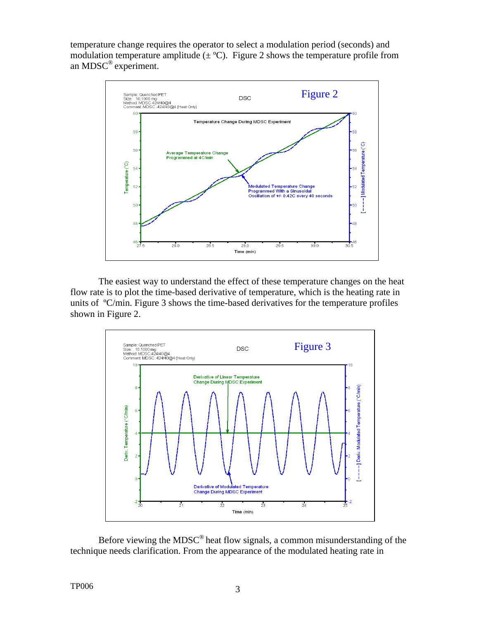temperature change requires the operator to select a modulation period (seconds) and modulation temperature amplitude  $(\pm \text{°C})$ . Figure 2 shows the temperature profile from an MDSC® experiment.



The easiest way to understand the effect of these temperature changes on the heat flow rate is to plot the time-based derivative of temperature, which is the heating rate in units of ºC/min. Figure 3 shows the time-based derivatives for the temperature profiles shown in Figure 2.



Before viewing the MDSC® heat flow signals, a common misunderstanding of the technique needs clarification. From the appearance of the modulated heating rate in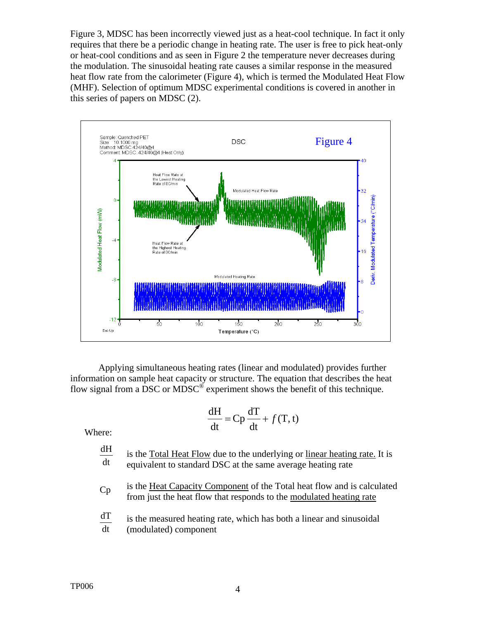Figure 3, MDSC has been incorrectly viewed just as a heat-cool technique. In fact it only requires that there be a periodic change in heating rate. The user is free to pick heat-only or heat-cool conditions and as seen in Figure 2 the temperature never decreases during the modulation. The sinusoidal heating rate causes a similar response in the measured heat flow rate from the calorimeter (Figure 4), which is termed the Modulated Heat Flow (MHF). Selection of optimum MDSC experimental conditions is covered in another in this series of papers on MDSC (2).



Applying simultaneous heating rates (linear and modulated) provides further information on sample heat capacity or structure. The equation that describes the heat flow signal from a DSC or MDSC $^{\circ}$  experiment shows the benefit of this technique.

$$
\frac{dH}{dt} = Cp\frac{dT}{dt} + f(T, t)
$$

Where:

dt  $\frac{dH}{dt}$  is the Total Heat Flow due to the underlying or linear heating rate. It is equivalent to standard DSC at the same average heating rate

- is the Heat Capacity Component of the Total heat flow and is calculated from just the heat flow that responds to the modulated heating rate
- dt  $\frac{dT}{dt}$  is the measured heating rate, which has both a linear and sinusoidal (modulated) component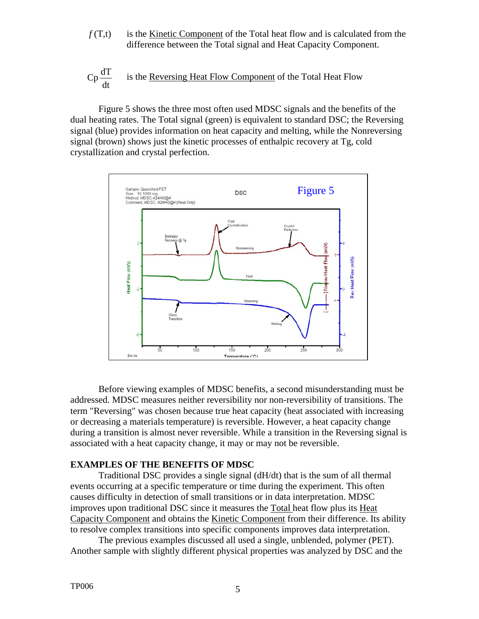$f(T,t)$  is the Kinetic Component of the Total heat flow and is calculated from the difference between the Total signal and Heat Capacity Component.

$$
Cp \frac{dT}{dt}
$$
 is the Reversing Heat Flow Component of the Total Heat Flow

 Figure 5 shows the three most often used MDSC signals and the benefits of the dual heating rates. The Total signal (green) is equivalent to standard DSC; the Reversing signal (blue) provides information on heat capacity and melting, while the Nonreversing signal (brown) shows just the kinetic processes of enthalpic recovery at Tg, cold crystallization and crystal perfection.



Before viewing examples of MDSC benefits, a second misunderstanding must be addressed. MDSC measures neither reversibility nor non-reversibility of transitions. The term "Reversing" was chosen because true heat capacity (heat associated with increasing or decreasing a materials temperature) is reversible. However, a heat capacity change during a transition is almost never reversible. While a transition in the Reversing signal is associated with a heat capacity change, it may or may not be reversible.

#### **EXAMPLES OF THE BENEFITS OF MDSC**

Traditional DSC provides a single signal (dH/dt) that is the sum of all thermal events occurring at a specific temperature or time during the experiment. This often causes difficulty in detection of small transitions or in data interpretation. MDSC improves upon traditional DSC since it measures the Total heat flow plus its Heat Capacity Component and obtains the Kinetic Component from their difference. Its ability to resolve complex transitions into specific components improves data interpretation.

The previous examples discussed all used a single, unblended, polymer (PET). Another sample with slightly different physical properties was analyzed by DSC and the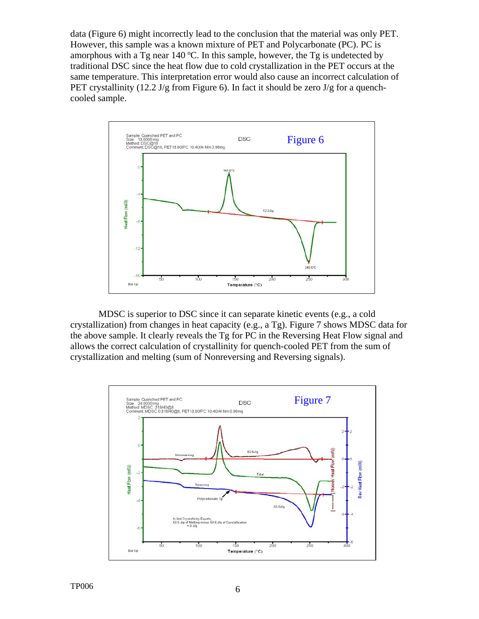data (Figure 6) might incorrectly lead to the conclusion that the material was only PET. However, this sample was a known mixture of PET and Polycarbonate (PC). PC is amorphous with a Tg near 140 ºC. In this sample, however, the Tg is undetected by traditional DSC since the heat flow due to cold crystallization in the PET occurs at the same temperature. This interpretation error would also cause an incorrect calculation of PET crystallinity  $(12.2 \text{ J/g from Figure 6})$ . In fact it should be zero  $\text{J/g}$  for a quenchcooled sample.



MDSC is superior to DSC since it can separate kinetic events (e.g., a cold crystallization) from changes in heat capacity (e.g., a Tg). Figure 7 shows MDSC data for the above sample. It clearly reveals the Tg for PC in the Reversing Heat Flow signal and allows the correct calculation of crystallinity for quench-cooled PET from the sum of crystallization and melting (sum of Nonreversing and Reversing signals).

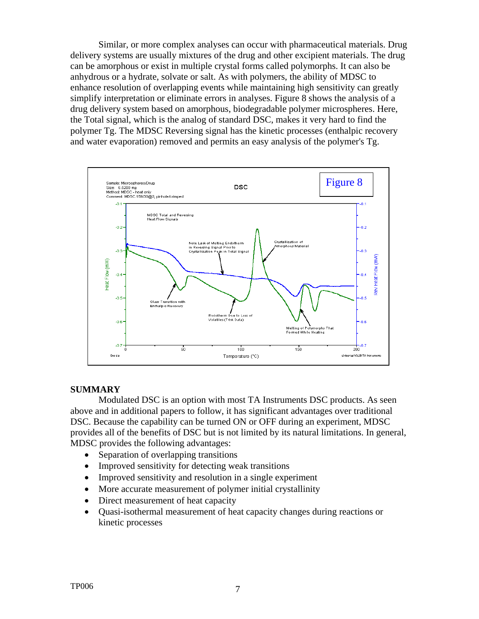Similar, or more complex analyses can occur with pharmaceutical materials. Drug delivery systems are usually mixtures of the drug and other excipient materials. The drug can be amorphous or exist in multiple crystal forms called polymorphs. It can also be anhydrous or a hydrate, solvate or salt. As with polymers, the ability of MDSC to enhance resolution of overlapping events while maintaining high sensitivity can greatly simplify interpretation or eliminate errors in analyses. Figure 8 shows the analysis of a drug delivery system based on amorphous, biodegradable polymer microspheres. Here, the Total signal, which is the analog of standard DSC, makes it very hard to find the polymer Tg. The MDSC Reversing signal has the kinetic processes (enthalpic recovery and water evaporation) removed and permits an easy analysis of the polymer's Tg.



### **SUMMARY**

Modulated DSC is an option with most TA Instruments DSC products. As seen above and in additional papers to follow, it has significant advantages over traditional DSC. Because the capability can be turned ON or OFF during an experiment, MDSC provides all of the benefits of DSC but is not limited by its natural limitations. In general, MDSC provides the following advantages:

- Separation of overlapping transitions
- Improved sensitivity for detecting weak transitions
- Improved sensitivity and resolution in a single experiment
- More accurate measurement of polymer initial crystallinity
- Direct measurement of heat capacity
- Quasi-isothermal measurement of heat capacity changes during reactions or kinetic processes